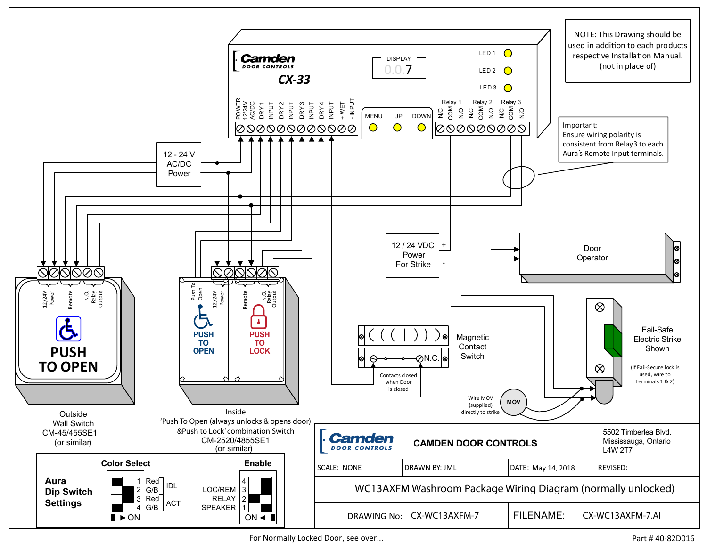